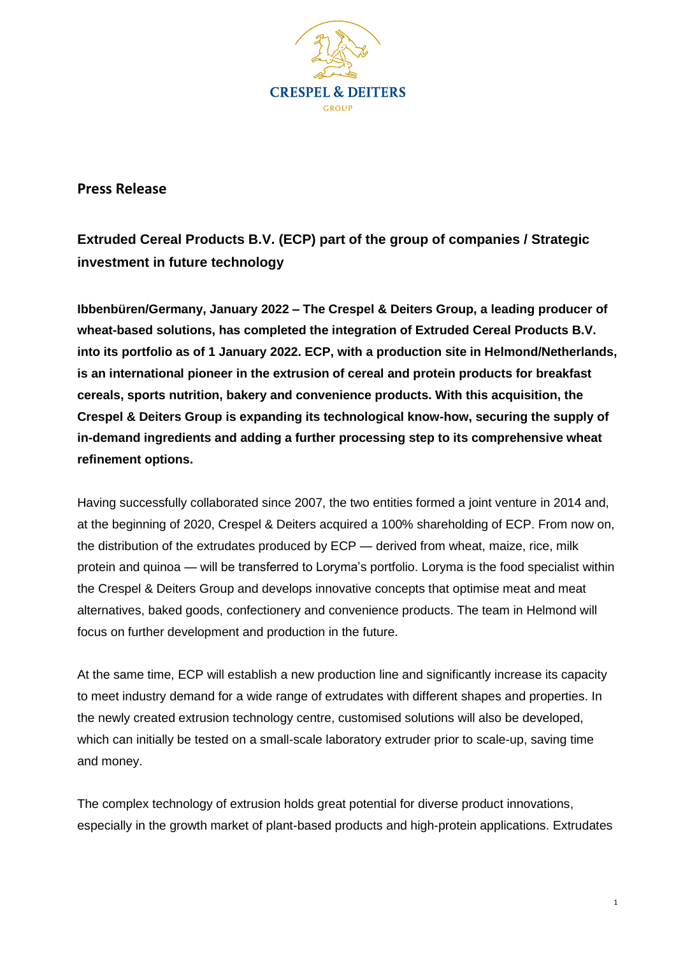

**Press Release**

**Extruded Cereal Products B.V. (ECP) part of the group of companies / Strategic investment in future technology**

**Ibbenbüren/Germany, January 2022 – The Crespel & Deiters Group, a leading producer of wheat-based solutions, has completed the integration of Extruded Cereal Products B.V. into its portfolio as of 1 January 2022. ECP, with a production site in Helmond/Netherlands, is an international pioneer in the extrusion of cereal and protein products for breakfast cereals, sports nutrition, bakery and convenience products. With this acquisition, the Crespel & Deiters Group is expanding its technological know-how, securing the supply of in-demand ingredients and adding a further processing step to its comprehensive wheat refinement options.**

Having successfully collaborated since 2007, the two entities formed a joint venture in 2014 and, at the beginning of 2020, Crespel & Deiters acquired a 100% shareholding of ECP. From now on, the distribution of the extrudates produced by ECP — derived from wheat, maize, rice, milk protein and quinoa — will be transferred to Loryma's portfolio. Loryma is the food specialist within the Crespel & Deiters Group and develops innovative concepts that optimise meat and meat alternatives, baked goods, confectionery and convenience products. The team in Helmond will focus on further development and production in the future.

At the same time, ECP will establish a new production line and significantly increase its capacity to meet industry demand for a wide range of extrudates with different shapes and properties. In the newly created extrusion technology centre, customised solutions will also be developed, which can initially be tested on a small-scale laboratory extruder prior to scale-up, saving time and money.

The complex technology of extrusion holds great potential for diverse product innovations, especially in the growth market of plant-based products and high-protein applications. Extrudates